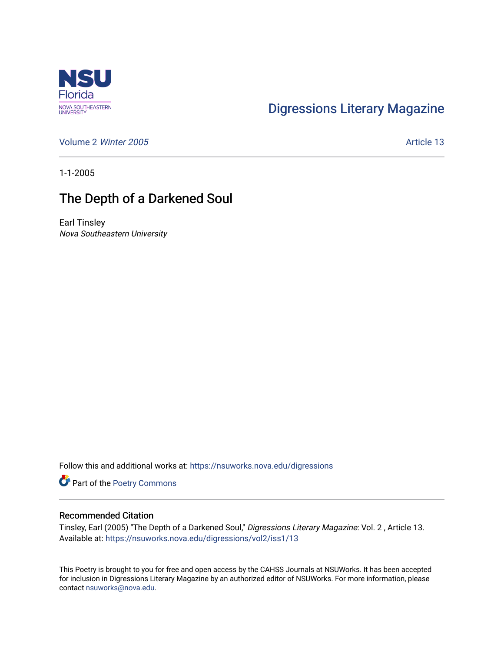

## [Digressions Literary Magazine](https://nsuworks.nova.edu/digressions)

[Volume 2](https://nsuworks.nova.edu/digressions/vol2) Winter 2005 Article 13

1-1-2005

## The Depth of a Darkened Soul

Earl Tinsley Nova Southeastern University

Follow this and additional works at: [https://nsuworks.nova.edu/digressions](https://nsuworks.nova.edu/digressions?utm_source=nsuworks.nova.edu%2Fdigressions%2Fvol2%2Fiss1%2F13&utm_medium=PDF&utm_campaign=PDFCoverPages) 

Part of the [Poetry Commons](http://network.bepress.com/hgg/discipline/1153?utm_source=nsuworks.nova.edu%2Fdigressions%2Fvol2%2Fiss1%2F13&utm_medium=PDF&utm_campaign=PDFCoverPages) 

## Recommended Citation

Tinsley, Earl (2005) "The Depth of a Darkened Soul," Digressions Literary Magazine: Vol. 2, Article 13. Available at: [https://nsuworks.nova.edu/digressions/vol2/iss1/13](https://nsuworks.nova.edu/digressions/vol2/iss1/13?utm_source=nsuworks.nova.edu%2Fdigressions%2Fvol2%2Fiss1%2F13&utm_medium=PDF&utm_campaign=PDFCoverPages) 

This Poetry is brought to you for free and open access by the CAHSS Journals at NSUWorks. It has been accepted for inclusion in Digressions Literary Magazine by an authorized editor of NSUWorks. For more information, please contact [nsuworks@nova.edu.](mailto:nsuworks@nova.edu)